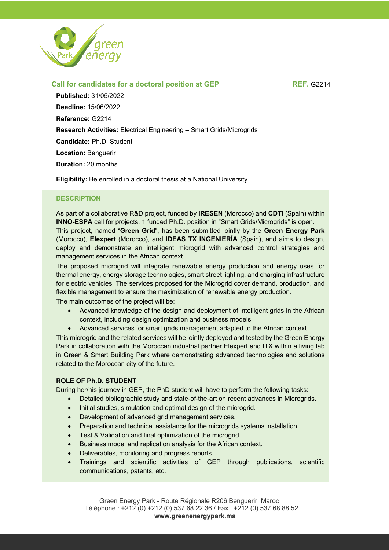

**Call for candidates for a doctoral position at GEP REF. G2214** 

**Published:** 31/05/2022 **Deadline:** 15/06/2022 **Reference:** G2214 **Research Activities:** Electrical Engineering – Smart Grids/Microgrids **Candidate:** Ph.D. Student **Location:** Benguerir **Duration:** 20 months

**Eligibility:** Be enrolled in a doctoral thesis at a National University

## **DESCRIPTION**

As part of a collaborative R&D project, funded by **IRESEN** (Morocco) and **CDTI** (Spain) within **INNO-ESPA** call for projects, 1 funded Ph.D. position in "Smart Grids/Microgrids" is open. This project, named "**Green Grid**", has been submitted jointly by the **Green Energy Park** (Morocco), **Elexpert** (Morocco), and **IDEAS TX INGENIERÍA** (Spain), and aims to design, deploy and demonstrate an intelligent microgrid with advanced control strategies and management services in the African context.

The proposed microgrid will integrate renewable energy production and energy uses for thermal energy, energy storage technologies, smart street lighting, and charging infrastructure for electric vehicles. The services proposed for the Microgrid cover demand, production, and flexible management to ensure the maximization of renewable energy production.

The main outcomes of the project will be:

- Advanced knowledge of the design and deployment of intelligent grids in the African context, including design optimization and business models
- Advanced services for smart grids management adapted to the African context.

This microgrid and the related services will be jointly deployed and tested by the Green Energy Park in collaboration with the Moroccan industrial partner Elexpert and ITX within a living lab in Green & Smart Building Park where demonstrating advanced technologies and solutions related to the Moroccan city of the future.

## **ROLE OF Ph.D. STUDENT**

During her/his journey in GEP, the PhD student will have to perform the following tasks:

- Detailed bibliographic study and state-of-the-art on recent advances in Microgrids.
- Initial studies, simulation and optimal design of the microgrid.
- Development of advanced grid management services.
- Preparation and technical assistance for the microgrids systems installation.
- Test & Validation and final optimization of the microgrid.
- Business model and replication analysis for the African context.
- Deliverables, monitoring and progress reports.
- Trainings and scientific activities of GEP through publications, scientific communications, patents, etc.